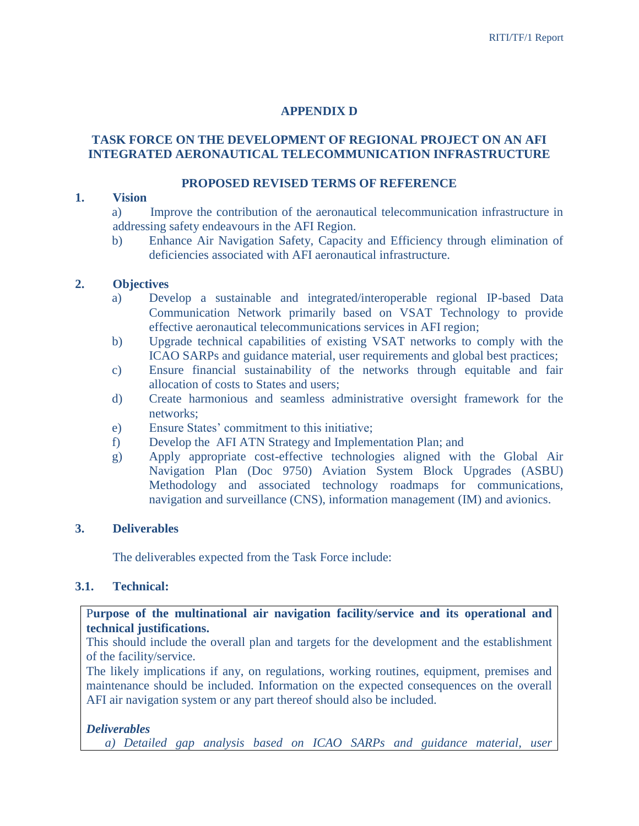# **APPENDIX D**

### **TASK FORCE ON THE DEVELOPMENT OF REGIONAL PROJECT ON AN AFI INTEGRATED AERONAUTICAL TELECOMMUNICATION INFRASTRUCTURE**

#### **PROPOSED REVISED TERMS OF REFERENCE**

#### **1. Vision**

a) Improve the contribution of the aeronautical telecommunication infrastructure in addressing safety endeavours in the AFI Region.

b) Enhance Air Navigation Safety, Capacity and Efficiency through elimination of deficiencies associated with AFI aeronautical infrastructure.

### **2. Objectives**

- a) Develop a sustainable and integrated/interoperable regional IP-based Data Communication Network primarily based on VSAT Technology to provide effective aeronautical telecommunications services in AFI region;
- b) Upgrade technical capabilities of existing VSAT networks to comply with the ICAO SARPs and guidance material, user requirements and global best practices;
- c) Ensure financial sustainability of the networks through equitable and fair allocation of costs to States and users;
- d) Create harmonious and seamless administrative oversight framework for the networks;
- e) Ensure States' commitment to this initiative;
- f) Develop the AFI ATN Strategy and Implementation Plan; and
- g) Apply appropriate cost-effective technologies aligned with the Global Air Navigation Plan (Doc 9750) Aviation System Block Upgrades (ASBU) Methodology and associated technology roadmaps for communications, navigation and surveillance (CNS), information management (IM) and avionics.

### **3. Deliverables**

The deliverables expected from the Task Force include:

### **3.1. Technical:**

P**urpose of the multinational air navigation facility/service and its operational and technical justifications.**

This should include the overall plan and targets for the development and the establishment of the facility/service.

The likely implications if any, on regulations, working routines, equipment, premises and maintenance should be included. Information on the expected consequences on the overall AFI air navigation system or any part thereof should also be included.

### *Deliverables*

*a) Detailed gap analysis based on ICAO SARPs and guidance material, user*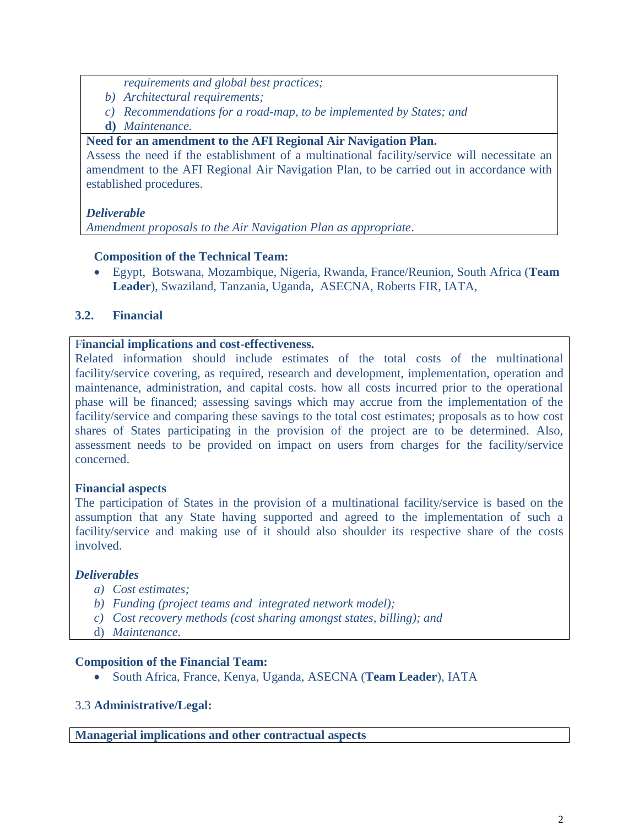*requirements and global best practices;*

- *b) Architectural requirements;*
- *c) Recommendations for a road-map, to be implemented by States; and*
- **d)** *Maintenance.*

## **Need for an amendment to the AFI Regional Air Navigation Plan.**

Assess the need if the establishment of a multinational facility/service will necessitate an amendment to the AFI Regional Air Navigation Plan, to be carried out in accordance with established procedures.

# *Deliverable*

*Amendment proposals to the Air Navigation Plan as appropriate*.

## **Composition of the Technical Team:**

 Egypt, Botswana, Mozambique, Nigeria, Rwanda, France/Reunion, South Africa (**Team Leader**), Swaziland, Tanzania, Uganda, ASECNA, Roberts FIR, IATA,

# **3.2. Financial**

## F**inancial implications and cost-effectiveness.**

Related information should include estimates of the total costs of the multinational facility/service covering, as required, research and development, implementation, operation and maintenance, administration, and capital costs. how all costs incurred prior to the operational phase will be financed; assessing savings which may accrue from the implementation of the facility/service and comparing these savings to the total cost estimates; proposals as to how cost shares of States participating in the provision of the project are to be determined. Also, assessment needs to be provided on impact on users from charges for the facility/service concerned.

### **Financial aspects**

The participation of States in the provision of a multinational facility/service is based on the assumption that any State having supported and agreed to the implementation of such a facility/service and making use of it should also shoulder its respective share of the costs involved.

# *Deliverables*

- *a) Cost estimates;*
- *b) Funding (project teams and integrated network model);*
- *c) Cost recovery methods (cost sharing amongst states, billing); and*
- d) *Maintenance.*

### **Composition of the Financial Team:**

South Africa, France, Kenya, Uganda, ASECNA (**Team Leader**), IATA

### 3.3 **Administrative/Legal:**

**Managerial implications and other contractual aspects**